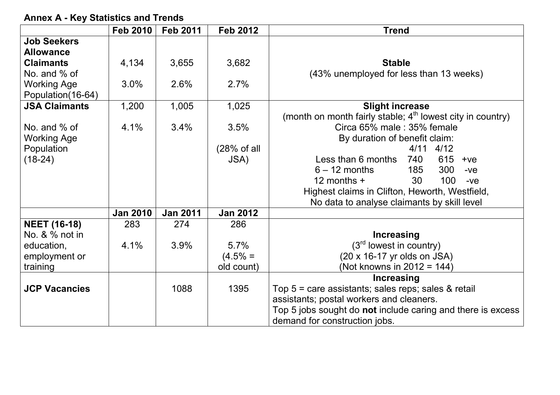|                      | <b>Feb 2010</b> | <b>Feb 2011</b> | <b>Feb 2012</b> | <b>Trend</b>                                                 |
|----------------------|-----------------|-----------------|-----------------|--------------------------------------------------------------|
| <b>Job Seekers</b>   |                 |                 |                 |                                                              |
| <b>Allowance</b>     |                 |                 |                 |                                                              |
| <b>Claimants</b>     | 4,134           | 3,655           | 3,682           | <b>Stable</b>                                                |
| No. and % of         |                 |                 |                 | (43% unemployed for less than 13 weeks)                      |
| <b>Working Age</b>   | 3.0%            | 2.6%            | 2.7%            |                                                              |
| Population (16-64)   |                 |                 |                 |                                                              |
| <b>JSA Claimants</b> | 1,200           | 1,005           | 1,025           | <b>Slight increase</b>                                       |
|                      |                 |                 |                 | (month on month fairly stable; $4th$ lowest city in country) |
| No. and $%$ of       | 4.1%            | 3.4%            | 3.5%            | Circa 65% male: 35% female                                   |
| <b>Working Age</b>   |                 |                 |                 | By duration of benefit claim:                                |
| Population           |                 |                 | (28% of all     | 4/11<br>4/12                                                 |
| $(18-24)$            |                 |                 | JSA)            | 615<br>Less than 6 months<br>740<br>$+ve$                    |
|                      |                 |                 |                 | $6 - 12$ months<br>300<br>185<br>$-ve$                       |
|                      |                 |                 |                 | 12 months $+$<br>30<br>100<br>$-ve$                          |
|                      |                 |                 |                 | Highest claims in Clifton, Heworth, Westfield,               |
|                      |                 |                 |                 | No data to analyse claimants by skill level                  |
|                      | <b>Jan 2010</b> | <b>Jan 2011</b> | <b>Jan 2012</b> |                                                              |
| <b>NEET (16-18)</b>  | 283             | 274             | 286             |                                                              |
| No. & % not in       |                 |                 |                 | <b>Increasing</b>                                            |
| education,           | 4.1%            | 3.9%            | 5.7%            | (3 <sup>rd</sup> lowest in country)                          |
| employment or        |                 |                 | $(4.5% =$       | (20 x 16-17 yr olds on JSA)                                  |
| training             |                 |                 | old count)      | (Not knowns in 2012 = 144)                                   |
|                      |                 |                 |                 | Increasing                                                   |
| <b>JCP Vacancies</b> |                 | 1088            | 1395            | Top $5 =$ care assistants; sales reps; sales $\&$ retail     |
|                      |                 |                 |                 | assistants; postal workers and cleaners.                     |
|                      |                 |                 |                 | Top 5 jobs sought do not include caring and there is excess  |
|                      |                 |                 |                 | demand for construction jobs.                                |

**Annex A - Key Statistics and Trends**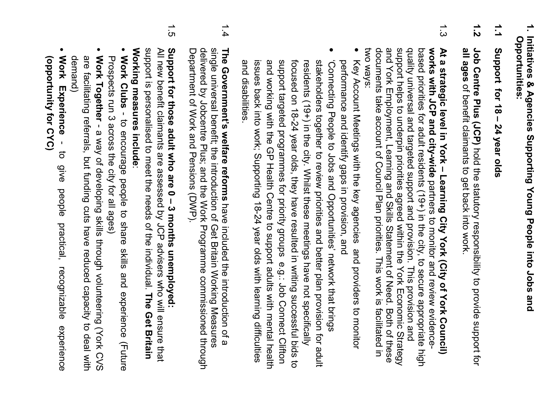- $\overline{.}$ **1. Initiatives & Agencies Supporting Young People into Jobs and**  Initiatives & Agencies Supporting Young People into Jobs and Opportunities: **Opportunities:**
- $\frac{1}{1}$ **1.1 Support for 18 – 24 year olds**  Support for 18 - 24 year olds
- $\frac{1}{2}$ **1.2 Job Centre Plus (JCP)** Job Centre Plus (JCP) hold the statutory responsibility to provide support for all ages of benefit claimants to get back into work. of benefit claimants to get back into work. hold the statutory responsibility to provide support for
- $1.3$ two ways: documents take account of Council Plan priorities. This work is facilitated in and York Employment, Learning and Skills Statement of Need. Both of these support helps to underpin priorities agreed within the York Economic Strategy quality universal and targeted support and provision. This provision and works with JCP and city-wide partners to monitor and review evidence based priorities for adult residents (19+) in the city, to secure appropriate high At a strategic level in York - Learning City York (City of York Council) two ways: documents take account of Council Plan priorities. This work is facilitated in and York Employment, Learning and Skills Statement of Need. Both of these support helps to underpin priorities agreed within the York Economic Strategy quality universal and targeted support and provision. This provision and based priorities for adult residents (19+) in the city, to secure appropriate high **works with JCP and city-wideAt a strategic level in York – Learning City York (City of York Council)**  partners to monitor and review evidence-
- Key Account Meetings with the key agencies and providers to monitor Key Account Meetings with the key agencies and providers to monitor performance and identify gaps in provision, and performance and identify gaps in provision, and
- • 'Connecting People to Jobs and Opportunities' network that brings issues back into work; Supporting 18-24 year olds with learning difficulties and working with the GP Health Centre to support adults with mental health support targeted programmes for priority groups e.g.: Job Connect Clifton focused on 18-24 year olds, they have resulted in writing successful bids to stakeholders together to review priorities and better plan provision for adult 'Connecting People to bus such or phortunities' network that brings and disabilities. and working with the GP Health Centre to support adults with mental health support targeted programmes for priority groups e.g.: Job Connect Clifton focused on 18-24 year olds, they have resulted in writing successful bids to residents (19+) in the city. Whilst these meetings have not specifically stakeholders together to review priorities and better plan provision for adult and disabilities. issues back into work; Supporting 18-24 year olds with learning difficulties residents (19+) in the city. Whilst these meetings have not specifically
- 1.4 single universal benefit; the introduction of Get Britain Working Measures delivered by Jobcentre Plus; and the Work Programme commissioned through The Government's welfare reforms have included the introduction of a Department of Work and Pensions (DWP). Department of Work and Pensions (DWP). delivered by Jobcentre Plus; and the Work Programme commissioned through single universal benefit; the introduction of Get Britain Working Measures **The Government's welfare reforms**have included the introduction of a
- $\frac{1}{5}$ Support for those adult who are 0 - 3 months unemployed: **Support for those adult who are 0 – 3 months unemployed:**

Working measures include: support is personalised to meet the needs of the individual. The Get Britain **Working measures include**support is personalised to meet the needs of the individual. All new benefit claimants are assessed by JCP advisers who will ensure that All new benefit claimants are assessed by JCP advisers who will ensure that **The Get Britain** 

- Work Clubs - to encourage people to share skills and experience (Future Prospects run 3 across the city for all ages) **Work Clubs**Prospects run 3 across the city for all ages) - to encourage people to share skills and experience (Future
- Work Together - a way of developing skills through volunteering (York CVS are facilitating referrals, but funding cuts have reduced capacity to deal with demand) **Work Together** - a way of developing skills through volunteering (York CVS are facilitating referrals, but funding cuts have reduced capacity to deal with
- **Work Experience** (Obportunity for CYC) **Work Experience(opportunity for CYC)** - to give people practical, recognizable experience  $\vec{o}$ **GIVE** people practical, recognizable experience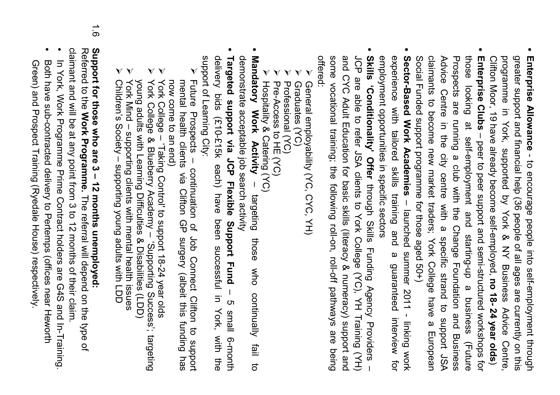- programme in York, supported by York & NY Business Advice Centre, Clifton Moor, 19 have already become self-employed, no 18-24 year olds) greater support and financial help (36 people of all ages are currently on this Enterprise Allowance - to encourage people into self-employment through Clifton Moor, 19 have already become self-employed, programme in York, supported by York & NY Business Advice Centre, greater support and financial help (36 people of all ages are currently on this **Enterprise Allowance** - to encourage people into self-employment through **no 18- 24 year olds**
- claimants to become new market traders; York College have a European Prospects are running a club with the Change Foundation and Business those looking at self-employment and starting-up a business (Future Social Funded support programme for those aged 50+) Advice Centre in the city centre with a specific strand to support JSA Advice Centre in the city centre with a specific strand to support JSA those looking at self-employment and starting-up a business (Future Enterprise Clubs - peer to peer support and semi-structured workshops for Social Funded support programme for those aged 50+) claimants to become new market traders; York College have a European Prospects are running a club with the Change Foundation and Business **Enterprise Clubs**– peer to peer support and semi-structured workshops for
- experience with tailored skills training and a guaranteed interview for Sector-Based Work Academies - launched summer 2011 - linking work employment opportunities in specific sectors employment opportunities in specific sectors experience with tailored skills training and a guaranteed interview for **Sector-Based Work Academies**– launched summer 2011 - linking work
- and CYC Adult Education for basic skills (literacy & numeracy) support and Skills (Conditionality' Offer through Skills Funding Agency Providers some vocational training; the following roll-on, roll-off pathways are being JCP are able to refer JSA clients to York College (YC), YH Training (YH) offered: some vocational training; the following roll-on, roll-off pathways are being and CYC Adult Education for basic skills (literacy & numeracy) support and JCP are able to refer JSA clients to York College (YC), YH Training (YH) **Skills 'Conditionality' Offer** through Skills Funding Agency Providers –
- Ø General employability (YC, CYC, YH) General employability (YC, CYC, YH)
- Ø Graduates (YC) Graduates (YC)
- Ø Professional (YC) Professional (YC)
- ØØ Hospitality & Catering (YC) Pre-Access to HE (YC) Hospitality & Catering (YC) Pre-Access to HE (YC)
- **Mandatory** demonstrate acceptable job search activity demonstrate acceptable job search activity **Mandatory Work Activity** – targeting those who continually fail to Work Activity targeting those who continually fail to
- Targeted support via JCP Flexible Support Fund delivery bids (£10-£15k each) have support of Learning City: **Targeted support via JCP Flexible Support Fund** support of Learning City: delivery bids (£10-£15k each) have been successful in York, with the been successici in York, with the – 5 small 6-month ຕ small 6-month
- Ø Future Prospects – continuation of Job Connect Clifton to support Future Prospects - continuation of Job Connect Clifton to now come to an end) mental health clients via Clifton GP surgery (albeit this funding has now come to an end) mental health clients via Clifton GP surgery (albeit this funding has proddins
- Ø York College – 'Taking Control' to support 18-24 year olds York College - Taking Control to support 18-24 year olds
- Ø York College & Blueberry Academy – 'Supporting Success'; targeting York College & Blueberry Academy - 'Supporting Success'; targeting
- York Mind supporting clients with mental health issues young adults with Learning Difficulties & Disabilities (LDD)<br>York Mind – supporting clients with mental health issues young adults with Learning Difficulties & Disabilities (LDD)
- ØØ Children's Society – supporting young adults with LDD Children's Society - supporting young adults with LDD
- $\frac{1}{9}$ **Support for those who are 3 – 12 months unemployed:**

Support for those who are 3 – 12 months unemployed:<br>Referred to the Work Programme. The referral will depend on the type of Referred to the **Work Programme.**The referral will depend on the type of

- claimant and will be at any point from 3 to 12 months of their claim • claimant and will be at any point from 3 to 12 months of their claim. In York, Work Programme Prime Contract holders are G4S and In-Training. In York, Work Programme Prime Contract holders are G4S and In-Training.
- Both have sub-contracted delivery to Pertemps (offices near Heworth Both have sub-contracted delivery to Pertemps (offices near Heworth
- Green) and Prospect Training (Ryedale House) respectively. Green) and Prospect Training (Ryedale House) respectively.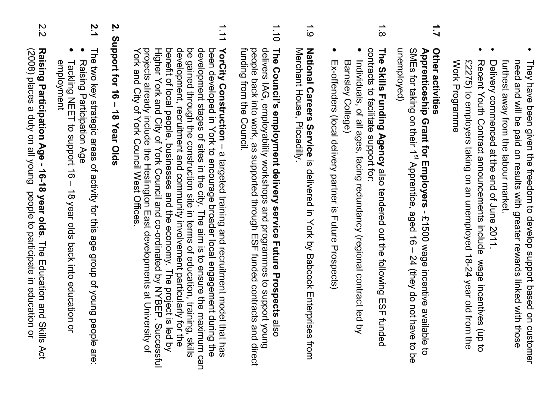- furthest away from the labour market. need and will be paid on results with greater rewards linked with those furthest away from the labour market. They have been given the freedom to develop support based on customer They have been given the freedom to develop support based on customer need and will be paid on results with greater rewards linked with those
- Delivery commenced at the end of June 2011. Delivery commenced at the end of June 2011.
- Work Programme £2275) to employers taking on an unemployed 18-24 year old from the Recent Youth Contract announcements include wage incentives (up to Work Programme £2275) to employers taking on an unemployed 18-24 year old from the Recent Youth Contract announcements include wage incentives (up to

#### $\overline{2}$ **1.7 Other activities**  Other activities

unemployed) SMEs for taking on their 1<sup>st</sup> Apprentice, aged 16 - 24 (they do not have to be Apprenticeship Grant for Employers - £1500 wage incentive available to unemployed) SMEs for taking on their 1**Apprenticeship Grant for Employers** $s$  Apprentice, aged 16 – 24 (they do not have to be - £1500 wage incentive available to

- $\frac{1}{8}$ contracts to facilitate support for: The Skills Funding Agency also tendered out the following contracts to facilitate support for: **The Skills Funding Agency** also tendered out the following ESF funded ESF funded
- Individuals, of all ages, facing redundancy (regional contract led by Individuals, of all ages, facing redundancy (regional contract led by Barnsley College) Barnsley College)
- • Ex-offenders (local delivery partner is Future Prospects) Ex-offenders (local delivery partner is Future Prospects)
- $1.9$ Merchant House, Piccadilly. National Careers Service is delivered in York by Babcock Enterprises from Merchant House, Piccadilly. **National Careers Service**is delivered in York by Babcock Enterprises from
- 1.10 funding from the Council. people back into work, as supported through ESF funded contracts and direct delivers IAG, employability workshops and programmes to support young The Council's employment delivery service Future Prospects also funding from the Council. people back into work, as supported through ESF funded contracts and direct delivers IAG, employability workshops and programmes to support young **The Council's employment delivery service Future Prospects**
- 1.11 projects already include the Heslington East developments at University of<br>York and City of York Council West Offices. development, recruitment and community involvement particularly for the been developed in York to encourage broader local engagement during the<br>development stages of sites in the city. The aim is to ensure the maximum can Higher York and City of York Council and co-ordinated by NYBEP. benefit of local people, businesses and the economy. The project is led by be gained through the construction site in terms of education, training, skills YorCity Construction - a targeted training and recruitment model that has York and City of York Council West Offices. projects already include the Heslington East developments at University of Higher York and City of York Council and co-ordinated by NYBEP. Successful benefit of local people, businesses and the economy. The project is led by development, recruitment and community involvement particularly for the be gained through the construction site in terms of education, training, skills development stages of sites in the city. The aim is to ensure the maximum can been developed in York to encourage broader local engagement during the **YorCity Construction** – a targeted training and recruitment model that has Successful

### ้<br>? **2. Support for 16 – 18 Year Olds**  Support for 18 Year Olds

- **2.1**  The two key strategic areas of activity for this age group of young people are: The two key strategic areas of activity for this age group of young people are:
- •• Tackling NEET to support 16 – 18 year olds back into education or Raising Participation Age Tackling NEET to support 16 - 18 year olds back into education or Raising Participation Age

employment

employment

2.2 Raising Participation Age - 16-18 year olds. The Education and Skills Act (2008) places a duty on all young people to participate in education or (2008) places a duty on all young people to participate in education or **Raising Participation Age - 16-18 year olds**. The Education and Skills Act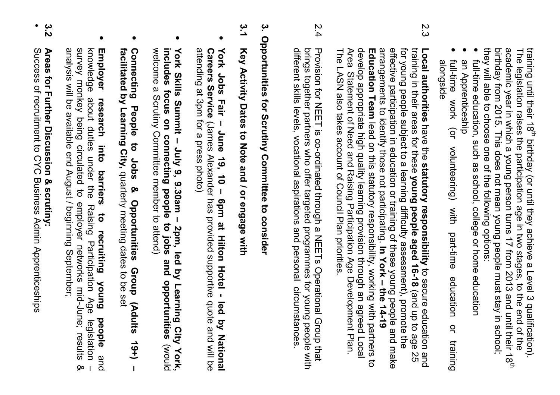they will able to choose one of the following options: academic year in which a young person turns 17 from 2013 and until their 18<sup>th</sup> training until their 18<sup>th</sup> birthday (or until they achieve a Level 3 qualification). birthday from 2015. This does not mean young people must stay in school; they will able to choose one of the following options: birthday from 2015. This does not mean young people must stay in school; academic year in which a young person turns 17 from 2013 and until their 18The legislation raises the participation age in two stages, to the end of the The legislation raises the participation age in two stages, to the end of the training until their 18birthday (or until they achieve a Level 3 qualification).

- • full-time education, such as school, college or home education full-time education, such as school, college or home education
- • an Apprenticeship an Apprenticeship
- • full-time work (or volunteering) with part-time education or training full-time work (or volunteering) with alongside part-time education  $\overline{a}$ training
- 2.3 effective participation in education or training of these young people and make for young people subject to a learning difficulty assessment), promote the Area Statement of Need and Raising Participation Age Development Plan. develop appropriate high quality learning provision through an agreed Local arrangements to identify those not participating. In York - the 14-19 training in their areas for these young people aged 16-18 (and up to age Local authorities have the statutory responsibility to secure education The LASN also takes account of Council Plan priorities. The LASN also takes account of Council Plan priorities. Area Statement of Need and Raising Participation Age Development Plan. develop appropriate high quality learning provision through an agreed Local Education Team lead on this statutory responsibility, working with partners to **Education Team**arrangements to identify those not participating. effective participation in education or training of these young people and make for young people subject to a learning difficulty assessment), promote the training in their areas for these **Local authorities** lead on this statutory responsibility, working with partners to have the **statutory responsibility** to secure education and **young people aged 16-18In York – the 14-19**  (and up to age 25 52
- 2.4 2.4 Provision for NEET is co-ordinated through a NEETs Operational Group that different skills levels, vocational aspirations and personal circumstances brings together partners who offer targeted programmes for young people with Provision for NEET is co-ordinated through a NEETs Operational Group that different skills levels, vocational aspirations and personal circumstances. brings together partners who offer targeted programmes for young people with

# 3. Opportunities for Scrutiny Committee to consider **3. Opportunities for Scrutiny Committee to consider**

## <u>ي</u><br>د **3.1 Key Activity Dates to Note and / or engage with** Key Activity Dates to Note and / or engage with

- attending at 3pm for a press photo) Careers Service (James Alexander has provided supportive quote and will be York Jobs Fair - June 19, 10 - 6pm at Hilton Hotel - led by National attending at 3pm for a press photo) **Careers Service York Jobs Fair – June 19, 10 – 6pm at Hilton Hotel - led by National**  (James Alexander has provided supportive quote and will be
- includes focus on connecting people to jobs and opportunities welcome a Scrutiny Committee member to attend) York Skills Summit - July 9, 9.30am - 2pm, led by Learning welcome a Scrutiny Committee member to attend) **includes focus on connecting people to jobs and opportunities York Skills Summit – July 9, 9.30am – 2pm, led by Learning City York,**  City York, p<sub>l</sub>now)
- **Connecting** facilitated by Learning City, quarterly meeting dates to be set **facilitated by Learning City, Connecting People to Jobs & Opportunities Group (Adults 19+) –**  People  $\vec{o}$ **Jobs** quarterly meeting dates to be set <u>လ</u> **Opportunities** Group (Adults  $19+$  $\mathbf{I}$
- survey monkey being circulated to employer networks mid-June; results<br>analysis will be available end August / beginning September; knowledge **Employer** analysis will be available end August / beginning September; survey monkey being circulated to employer networks mid-June; results & knowledge about duties under the Raising Participation Age legislation – **Employer research into barriers to recruiting young people**about duties under the Raising Participation Age research into barriers to recruiting young people and legislation  $\infty$
- 3.2 **3.2 Areas for Further Discussion & scrutiny:**  Areas for Further Discussion & scrutiny:

•

Success of recruitment to CYC Business Admin Apprenticeships Success of recruitment to CYC Business Admin Apprenticeships